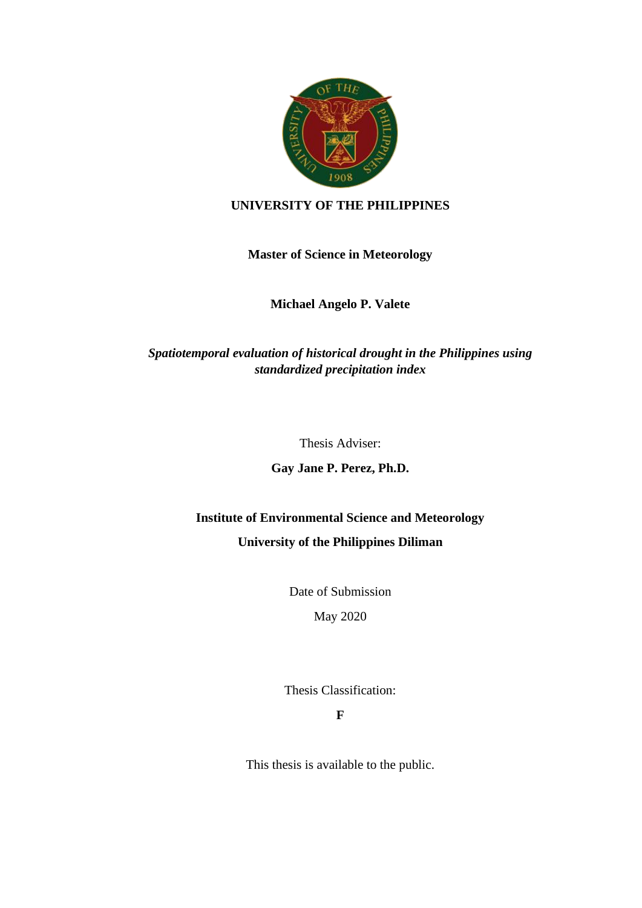

#### **UNIVERSITY OF THE PHILIPPINES**

#### **Master of Science in Meteorology**

### **Michael Angelo P. Valete**

## *Spatiotemporal evaluation of historical drought in the Philippines using standardized precipitation index*

Thesis Adviser:

**Gay Jane P. Perez, Ph.D.**

# **Institute of Environmental Science and Meteorology**

#### **University of the Philippines Diliman**

Date of Submission

May 2020

Thesis Classification:

**F**

This thesis is available to the public.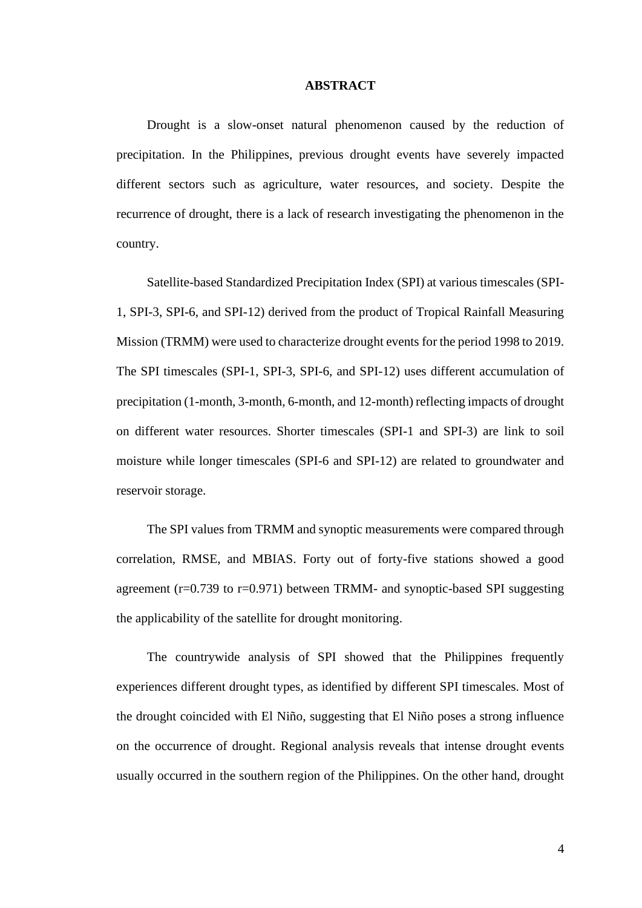#### **ABSTRACT**

Drought is a slow-onset natural phenomenon caused by the reduction of precipitation. In the Philippines, previous drought events have severely impacted different sectors such as agriculture, water resources, and society. Despite the recurrence of drought, there is a lack of research investigating the phenomenon in the country.

Satellite-based Standardized Precipitation Index (SPI) at various timescales (SPI-1, SPI-3, SPI-6, and SPI-12) derived from the product of Tropical Rainfall Measuring Mission (TRMM) were used to characterize drought events for the period 1998 to 2019. The SPI timescales (SPI-1, SPI-3, SPI-6, and SPI-12) uses different accumulation of precipitation (1-month, 3-month, 6-month, and 12-month) reflecting impacts of drought on different water resources. Shorter timescales (SPI-1 and SPI-3) are link to soil moisture while longer timescales (SPI-6 and SPI-12) are related to groundwater and reservoir storage.

The SPI values from TRMM and synoptic measurements were compared through correlation, RMSE, and MBIAS. Forty out of forty-five stations showed a good agreement  $(r=0.739$  to  $r=0.971$ ) between TRMM- and synoptic-based SPI suggesting the applicability of the satellite for drought monitoring.

The countrywide analysis of SPI showed that the Philippines frequently experiences different drought types, as identified by different SPI timescales. Most of the drought coincided with El Niño, suggesting that El Niño poses a strong influence on the occurrence of drought. Regional analysis reveals that intense drought events usually occurred in the southern region of the Philippines. On the other hand, drought